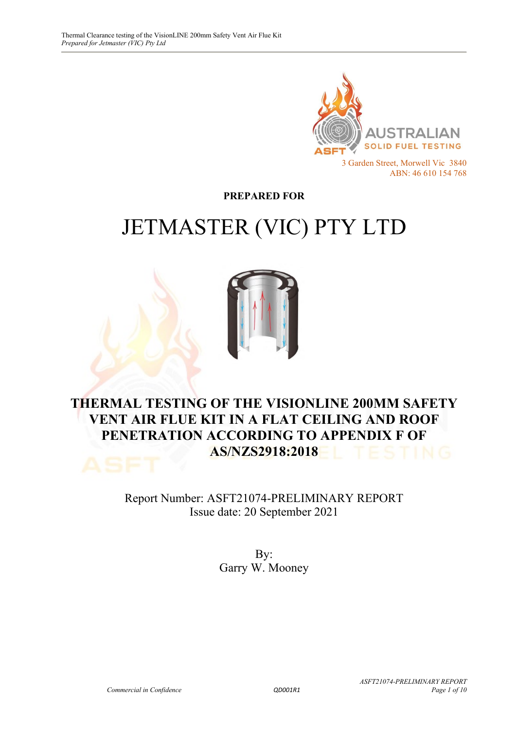

**PREPARED FOR**

# JETMASTER (VIC) PTY LTD



### **THERMAL TESTING OF THE VISIONLINE 200MM SAFETY VENT AIR FLUE KIT IN A FLAT CEILING AND ROOF PENETRATION ACCORDING TO APPENDIX F OF AS/NZS2918:2018**

Report Number: ASFT21074-PRELIMINARY REPORT Issue date: 20 September 2021

> By: Garry W. Mooney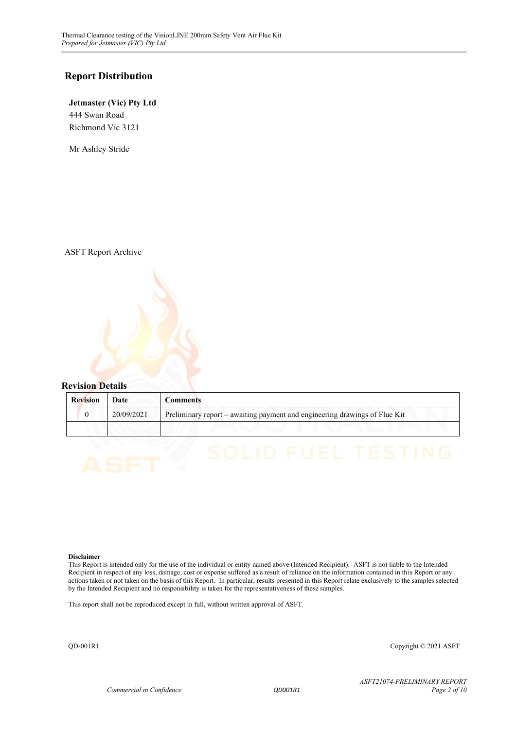#### **Report Distribution**

**Jetmaster (Vic) Pty Ltd** 444 Swan Road Richmond Vic 3121

Mr Ashley Stride

ASFT Report Archive



| <b>Revision</b> | Date       | Comments                                                                   |
|-----------------|------------|----------------------------------------------------------------------------|
|                 | 20/09/2021 | Preliminary report - awaiting payment and engineering drawings of Flue Kit |
|                 |            |                                                                            |

#### **Disclaimer**

This Report is intended only for the use of the individual or entity named above (Intended Recipient). ASFT is not liable to the Intended Recipient in respect of any loss, damage, cost or expense suffered as a result of reliance on the information contained in this Report or any actions taken or not taken on the basis of this Report. In particular, results presented in this Report relate exclusively to the samples selected by the Intended Recipient and no responsibility is taken for the representativeness of these samples.

This report shall not be reproduced except in full, without written approval of ASFT.

QD-001R1 Copyright © 2021 ASFT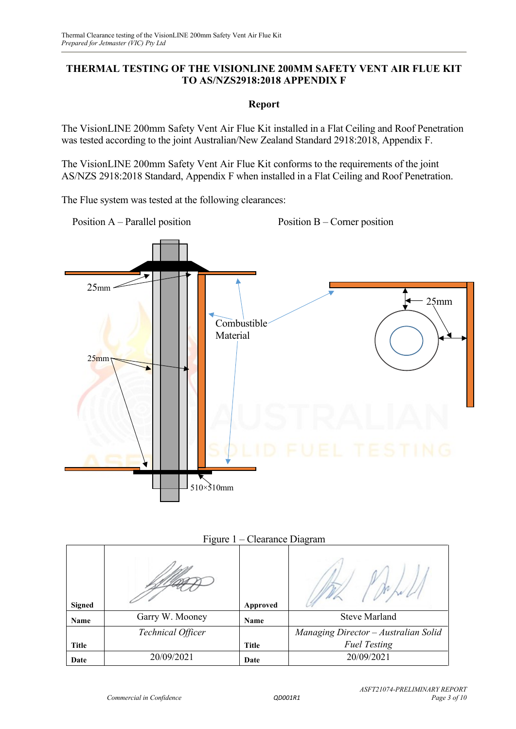#### **THERMAL TESTING OF THE VISIONLINE 200MM SAFETY VENT AIR FLUE KIT TO AS/NZS2918:2018 APPENDIX F**

#### **Report**

The VisionLINE 200mm Safety Vent Air Flue Kit installed in a Flat Ceiling and Roof Penetration was tested according to the joint Australian/New Zealand Standard 2918:2018, Appendix F.

The VisionLINE 200mm Safety Vent Air Flue Kit conforms to the requirements of the joint AS/NZS 2918:2018 Standard, Appendix F when installed in a Flat Ceiling and Roof Penetration.

The Flue system was tested at the following clearances:



|               | Figure 1 – Clearance Diagram |              |                                      |  |
|---------------|------------------------------|--------------|--------------------------------------|--|
| <b>Signed</b> |                              | Approved     |                                      |  |
| Name          | Garry W. Mooney              | Name         | <b>Steve Marland</b>                 |  |
|               | Technical Officer            |              | Managing Director - Australian Solid |  |
| <b>Title</b>  |                              | <b>Title</b> | <b>Fuel Testing</b>                  |  |
| Date          | 20/09/2021                   | Date         | 20/09/2021                           |  |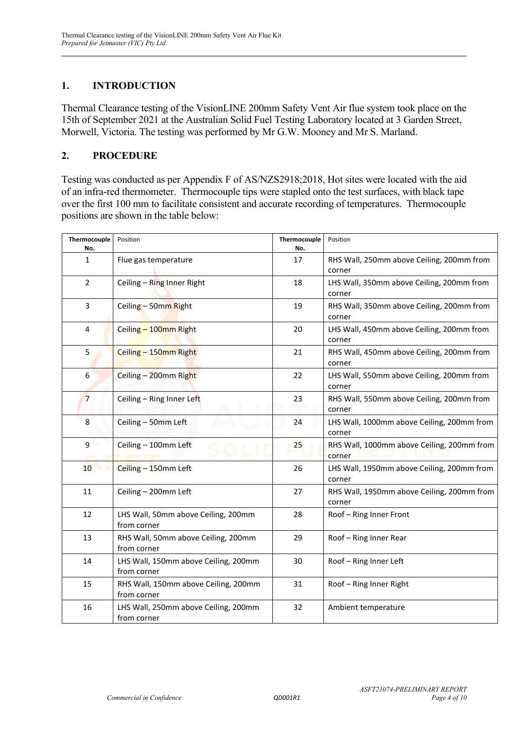#### **1. INTRODUCTION**

Thermal Clearance testing of the VisionLINE 200mm Safety Vent Air flue system took place on the 15th of September 2021 at the Australian Solid Fuel Testing Laboratory located at 3 Garden Street, Morwell, Victoria. The testing was performed by Mr G.W. Mooney and Mr S. Marland.

#### **2. PROCEDURE**

Testing was conducted as per Appendix F of AS/NZS2918;2018, Hot sites were located with the aid of an infra-red thermometer. Thermocouple tips were stapled onto the test surfaces, with black tape over the first 100 mm to facilitate consistent and accurate recording of temperatures. Thermocouple positions are shown in the table below:

| Thermocouple<br>No. | Position                                            | Thermocouple<br>No. | Position                                             |
|---------------------|-----------------------------------------------------|---------------------|------------------------------------------------------|
| $\mathbf{1}$        | Flue gas temperature                                | 17                  | RHS Wall, 250mm above Ceiling, 200mm from<br>corner  |
| $\overline{2}$      | Ceiling - Ring Inner Right                          | 18                  | LHS Wall, 350mm above Ceiling, 200mm from<br>corner  |
| 3                   | Ceiling - 50mm Right                                | 19                  | RHS Wall, 350mm above Ceiling, 200mm from<br>corner  |
| 4                   | Ceiling - 100mm Right                               | 20                  | LHS Wall, 450mm above Ceiling, 200mm from<br>corner  |
| 5                   | Ceiling - 150mm Right                               | 21                  | RHS Wall, 450mm above Ceiling, 200mm from<br>corner  |
| 6                   | Ceiling - 200mm Right                               | 22                  | LHS Wall, 550mm above Ceiling, 200mm from<br>corner  |
| $\overline{7}$      | Ceiling - Ring Inner Left                           | 23                  | RHS Wall, 550mm above Ceiling, 200mm from<br>corner  |
| 8                   | Ceiling - 50mm Left                                 | 24                  | LHS Wall, 1000mm above Ceiling, 200mm from<br>corner |
| 9                   | Ceiling - 100mm Left                                | 25                  | RHS Wall, 1000mm above Ceiling, 200mm from<br>corner |
| 10 <sup>°</sup>     | Ceiling - 150mm Left                                | 26                  | LHS Wall, 1950mm above Ceiling, 200mm from<br>corner |
| 11                  | Ceiling - 200mm Left                                | 27                  | RHS Wall, 1950mm above Ceiling, 200mm from<br>corner |
| 12                  | LHS Wall, 50mm above Ceiling, 200mm<br>from corner  | 28                  | Roof - Ring Inner Front                              |
| 13                  | RHS Wall, 50mm above Ceiling, 200mm<br>from corner  | 29                  | Roof - Ring Inner Rear                               |
| 14                  | LHS Wall, 150mm above Ceiling, 200mm<br>from corner | 30                  | Roof - Ring Inner Left                               |
| 15                  | RHS Wall, 150mm above Ceiling, 200mm<br>from corner | 31                  | Roof - Ring Inner Right                              |
| 16                  | LHS Wall, 250mm above Ceiling, 200mm<br>from corner | 32                  | Ambient temperature                                  |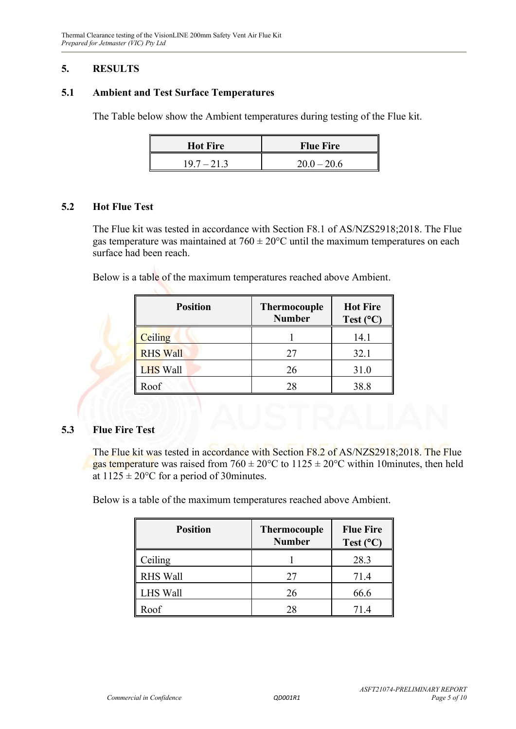#### **5. RESULTS**

#### **5.1 Ambient and Test Surface Temperatures**

The Table below show the Ambient temperatures during testing of the Flue kit.

| <b>Hot Fire</b> | <b>Flue Fire</b> |
|-----------------|------------------|
| $19.7 - 21.3$   | $20.0 - 20.6$    |

#### **5.2 Hot Flue Test**

The Flue kit was tested in accordance with Section F8.1 of AS/NZS2918;2018. The Flue gas temperature was maintained at  $760 \pm 20^{\circ}$ C until the maximum temperatures on each surface had been reach.

Below is a table of the maximum temperatures reached above Ambient.

| <b>Position</b> | <b>Thermocouple</b><br><b>Number</b> | <b>Hot Fire</b><br>Test $(^{\circ}C)$ |
|-----------------|--------------------------------------|---------------------------------------|
| Ceiling         |                                      | 14.1                                  |
| <b>RHS Wall</b> | 27                                   | 32.1                                  |
| <b>LHS Wall</b> | 26                                   | 31.0                                  |
| Roof            | 28                                   | 38.8                                  |

#### **5.3 Flue Fire Test**

The Flue kit was tested in accordance with Section F8.2 of AS/NZS2918;2018. The Flue gas temperature was raised from  $760 \pm 20^{\circ}$ C to  $1125 \pm 20^{\circ}$ C within 10minutes, then held at  $1125 \pm 20^{\circ}$ C for a period of 30minutes.

Below is a table of the maximum temperatures reached above Ambient.

| <b>Position</b> | <b>Thermocouple</b><br><b>Number</b> | <b>Flue Fire</b><br>Test $(^{\circ}C)$ |
|-----------------|--------------------------------------|----------------------------------------|
| Ceiling         |                                      | 28.3                                   |
| <b>RHS Wall</b> | 27                                   | 71.4                                   |
| <b>LHS Wall</b> | 26                                   | 66.6                                   |
| Roof            |                                      | 71.4                                   |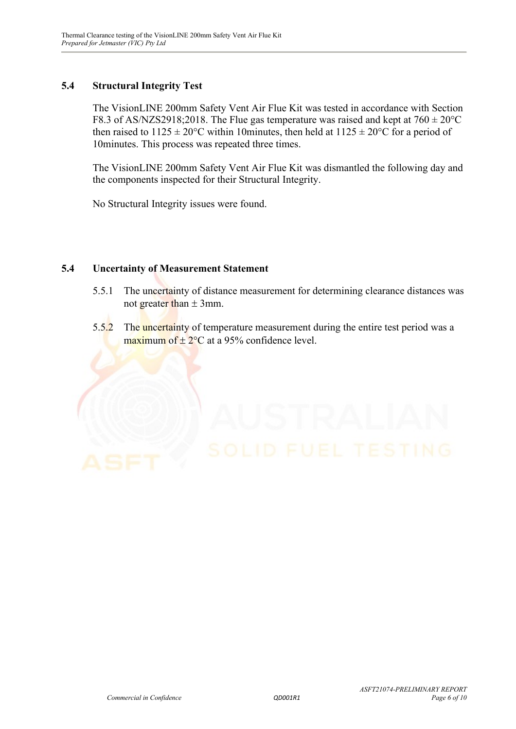#### **5.4 Structural Integrity Test**

The VisionLINE 200mm Safety Vent Air Flue Kit was tested in accordance with Section F8.3 of AS/NZS2918;2018. The Flue gas temperature was raised and kept at  $760 \pm 20^{\circ}$ C then raised to  $1125 \pm 20^{\circ}$ C within 10minutes, then held at  $1125 \pm 20^{\circ}$ C for a period of 10minutes. This process was repeated three times.

The VisionLINE 200mm Safety Vent Air Flue Kit was dismantled the following day and the components inspected for their Structural Integrity.

No Structural Integrity issues were found.

#### **5.4 Uncertainty of Measurement Statement**

- 5.5.1 The uncertainty of distance measurement for determining clearance distances was not greater than  $\pm$  3mm.
- 5.5.2 The uncertainty of temperature measurement during the entire test period was a maximum of  $\pm$  2°C at a 95% confidence level.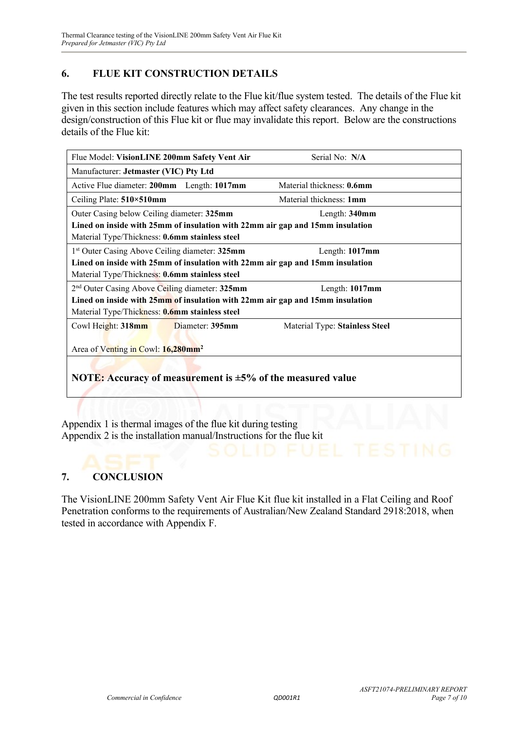#### **6. FLUE KIT CONSTRUCTION DETAILS**

The test results reported directly relate to the Flue kit/flue system tested. The details of the Flue kit given in this section include features which may affect safety clearances. Any change in the design/construction of this Flue kit or flue may invalidate this report. Below are the constructions details of the Flue kit:

| Flue Model: VisionLINE 200mm Safety Vent Air                                  | Serial No: N/A                 |  |  |
|-------------------------------------------------------------------------------|--------------------------------|--|--|
| Manufacturer: Jetmaster (VIC) Pty Ltd                                         |                                |  |  |
| Active Flue diameter: 200mm Length: 1017mm                                    | Material thickness: 0.6mm      |  |  |
| Ceiling Plate: 510×510mm                                                      | Material thickness: 1mm        |  |  |
| Outer Casing below Ceiling diameter: 325mm                                    | Length: 340mm                  |  |  |
| Lined on inside with 25mm of insulation with 22mm air gap and 15mm insulation |                                |  |  |
| Material Type/Thickness: 0.6mm stainless steel                                |                                |  |  |
| 1 <sup>st</sup> Outer Casing Above Ceiling diameter: 325mm                    | Length: 1017mm                 |  |  |
| Lined on inside with 25mm of insulation with 22mm air gap and 15mm insulation |                                |  |  |
| Material Type/Thickness: 0.6mm stainless steel                                |                                |  |  |
| 2 <sup>nd</sup> Outer Casing Above Ceiling diameter: 325mm                    | Length: 1017mm                 |  |  |
| Lined on inside with 25mm of insulation with 22mm air gap and 15mm insulation |                                |  |  |
| Material Type/Thickness: <b>0.6mm stainless steel</b>                         |                                |  |  |
| Cowl Height: 318mm<br>Diameter: 395mm                                         | Material Type: Stainless Steel |  |  |
|                                                                               |                                |  |  |
| Area of Venting in Cowl: 16,280mm <sup>2</sup>                                |                                |  |  |
|                                                                               |                                |  |  |
| <b>NOTE:</b> Accuracy of measurement is $\pm$ 5% of the measured value        |                                |  |  |
|                                                                               |                                |  |  |

Appendix 1 is thermal images of the flue kit during testing Appendix 2 is the installation manual/Instructions for the flue kit

#### **7. CONCLUSION**

The VisionLINE 200mm Safety Vent Air Flue Kit flue kit installed in a Flat Ceiling and Roof Penetration conforms to the requirements of Australian/New Zealand Standard 2918:2018, when tested in accordance with Appendix F.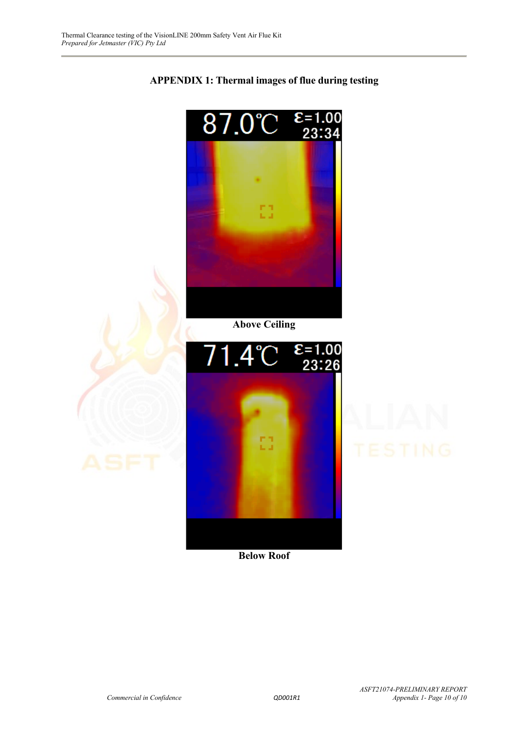

#### **APPENDIX 1: Thermal images of flue during testing**

**Below Roof**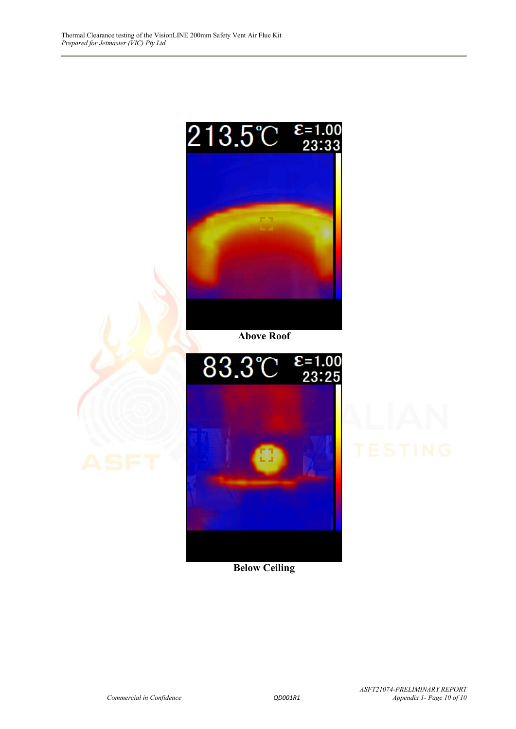

**Below Ceiling**